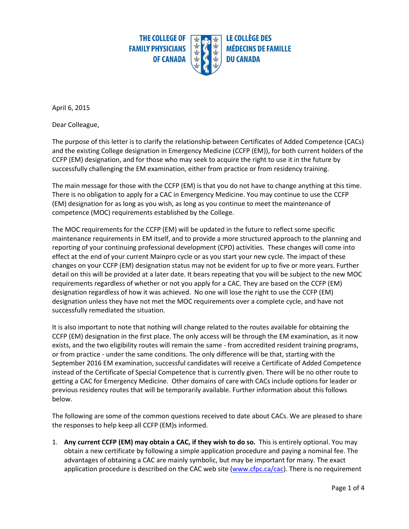

April 6, 2015

Dear Colleague,

The purpose of this letter is to clarify the relationship between Certificates of Added Competence (CACs) and the existing College designation in Emergency Medicine (CCFP (EM)), for both current holders of the CCFP (EM) designation, and for those who may seek to acquire the right to use it in the future by successfully challenging the EM examination, either from practice or from residency training.

The main message for those with the CCFP (EM) is that you do not have to change anything at this time. There is no obligation to apply for a CAC in Emergency Medicine. You may continue to use the CCFP (EM) designation for as long as you wish, as long as you continue to meet the maintenance of competence (MOC) requirements established by the College.

The MOC requirements for the CCFP (EM) will be updated in the future to reflect some specific maintenance requirements in EM itself, and to provide a more structured approach to the planning and reporting of your continuing professional development (CPD) activities. These changes will come into effect at the end of your current Mainpro cycle or as you start your new cycle. The impact of these changes on your CCFP (EM) designation status may not be evident for up to five or more years. Further detail on this will be provided at a later date. It bears repeating that you will be subject to the new MOC requirements regardless of whether or not you apply for a CAC. They are based on the CCFP (EM) designation regardless of how it was achieved. No one will lose the right to use the CCFP (EM) designation unless they have not met the MOC requirements over a complete cycle, and have not successfully remediated the situation.

It is also important to note that nothing will change related to the routes available for obtaining the CCFP (EM) designation in the first place. The only access will be through the EM examination, as it now exists, and the two eligibility routes will remain the same - from accredited resident training programs, or from practice - under the same conditions. The only difference will be that, starting with the September 2016 EM examination, successful candidates will receive a Certificate of Added Competence instead of the Certificate of Special Competence that is currently given. There will be no other route to getting a CAC for Emergency Medicine. Other domains of care with CACs include options for leader or previous residency routes that will be temporarily available. Further information about this follows below.

The following are some of the common questions received to date about CACs. We are pleased to share the responses to help keep all CCFP (EM)s informed.

1. **Any current CCFP (EM) may obtain a CAC, if they wish to do so.** This is entirely optional. You may obtain a new certificate by following a simple application procedure and paying a nominal fee. The advantages of obtaining a CAC are mainly symbolic, but may be important for many. The exact application procedure is described on the CAC web site [\(www.cfpc.ca/cac\)](http://www.cfpc.ca/cac). There is no requirement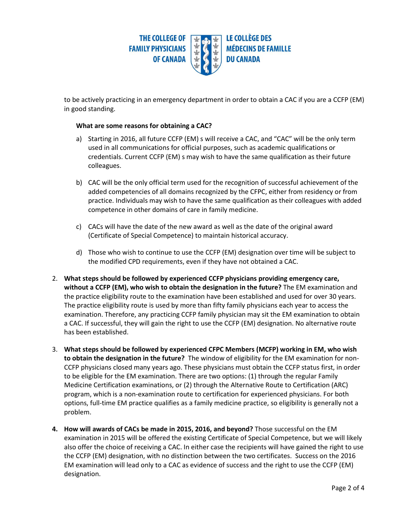

to be actively practicing in an emergency department in order to obtain a CAC if you are a CCFP (EM) in good standing.

## **What are some reasons for obtaining a CAC?**

- a) Starting in 2016, all future CCFP (EM) s will receive a CAC, and "CAC" will be the only term used in all communications for official purposes, such as academic qualifications or credentials. Current CCFP (EM) s may wish to have the same qualification as their future colleagues.
- b) CAC will be the only official term used for the recognition of successful achievement of the added competencies of all domains recognized by the CFPC, either from residency or from practice. Individuals may wish to have the same qualification as their colleagues with added competence in other domains of care in family medicine.
- c) CACs will have the date of the new award as well as the date of the original award (Certificate of Special Competence) to maintain historical accuracy.
- d) Those who wish to continue to use the CCFP (EM) designation over time will be subject to the modified CPD requirements, even if they have not obtained a CAC.
- 2. **What steps should be followed by experienced CCFP physicians providing emergency care, without a CCFP (EM), who wish to obtain the designation in the future?** The EM examination and the practice eligibility route to the examination have been established and used for over 30 years. The practice eligibility route is used by more than fifty family physicians each year to access the examination. Therefore, any practicing CCFP family physician may sit the EM examination to obtain a CAC. If successful, they will gain the right to use the CCFP (EM) designation. No alternative route has been established.
- 3. **What steps should be followed by experienced CFPC Members (MCFP) working in EM, who wish to obtain the designation in the future?** The window of eligibility for the EM examination for non-CCFP physicians closed many years ago. These physicians must obtain the CCFP status first, in order to be eligible for the EM examination. There are two options: (1) through the regular Family Medicine Certification examinations, or (2) through the Alternative Route to Certification (ARC) program, which is a non-examination route to certification for experienced physicians. For both options, full-time EM practice qualifies as a family medicine practice, so eligibility is generally not a problem.
- **4. How will awards of CACs be made in 2015, 2016, and beyond?** Those successful on the EM examination in 2015 will be offered the existing Certificate of Special Competence, but we will likely also offer the choice of receiving a CAC. In either case the recipients will have gained the right to use the CCFP (EM) designation, with no distinction between the two certificates. Success on the 2016 EM examination will lead only to a CAC as evidence of success and the right to use the CCFP (EM) designation.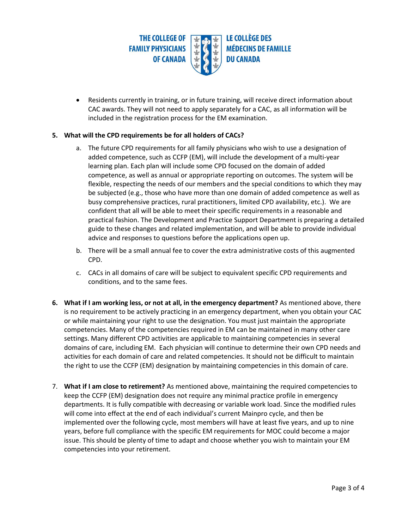

 Residents currently in training, or in future training, will receive direct information about CAC awards. They will not need to apply separately for a CAC, as all information will be included in the registration process for the EM examination.

## **5. What will the CPD requirements be for all holders of CACs?**

- a. The future CPD requirements for all family physicians who wish to use a designation of added competence, such as CCFP (EM), will include the development of a multi-year learning plan. Each plan will include some CPD focused on the domain of added competence, as well as annual or appropriate reporting on outcomes. The system will be flexible, respecting the needs of our members and the special conditions to which they may be subjected (e.g., those who have more than one domain of added competence as well as busy comprehensive practices, rural practitioners, limited CPD availability, etc.). We are confident that all will be able to meet their specific requirements in a reasonable and practical fashion. The Development and Practice Support Department is preparing a detailed guide to these changes and related implementation, and will be able to provide individual advice and responses to questions before the applications open up.
- b. There will be a small annual fee to cover the extra administrative costs of this augmented CPD.
- c. CACs in all domains of care will be subject to equivalent specific CPD requirements and conditions, and to the same fees.
- **6. What if I am working less, or not at all, in the emergency department?** As mentioned above, there is no requirement to be actively practicing in an emergency department, when you obtain your CAC or while maintaining your right to use the designation. You must just maintain the appropriate competencies. Many of the competencies required in EM can be maintained in many other care settings. Many different CPD activities are applicable to maintaining competencies in several domains of care, including EM. Each physician will continue to determine their own CPD needs and activities for each domain of care and related competencies. It should not be difficult to maintain the right to use the CCFP (EM) designation by maintaining competencies in this domain of care.
- 7. **What if I am close to retirement?** As mentioned above, maintaining the required competencies to keep the CCFP (EM) designation does not require any minimal practice profile in emergency departments. It is fully compatible with decreasing or variable work load. Since the modified rules will come into effect at the end of each individual's current Mainpro cycle, and then be implemented over the following cycle, most members will have at least five years, and up to nine years, before full compliance with the specific EM requirements for MOC could become a major issue. This should be plenty of time to adapt and choose whether you wish to maintain your EM competencies into your retirement.